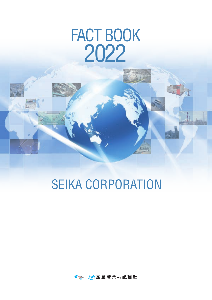# FACT BOOK 2022

## SEIKA CORPORATION

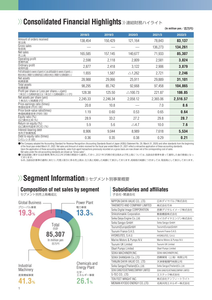## $\gg$  Consolidated Financial Highlights »連結財務ハイライト

|                                                                                                                                       | 2018/3   | 2019/3   | 2020/3             | 2021/3   | 2022/3   |
|---------------------------------------------------------------------------------------------------------------------------------------|----------|----------|--------------------|----------|----------|
| Amount of orders received<br>受注高                                                                                                      | 138,454  | 150,429  | 121,164            | 78,843   | 83,137   |
| Gross sales<br>取扱高                                                                                                                    |          |          |                    | 136,273  | 134,261  |
| Net sales<br>売上高                                                                                                                      | 165,585  | 157,145  | 140,677            | 71,933   | 85,307   |
| Operating profit<br>営業利益                                                                                                              | 2,598    | 2,118    | 2,809              | 2,581    | 3,824    |
| Ordinary profit<br>経常利益                                                                                                               | 2,877    | 2,418    | 3,122              | 2,906    | 3,879    |
| Profit attributable to owners of parent or Loss attributable to owners of parent $(\triangle)$<br>親会社株主に帰属する当期純利益又は親会社株主に帰属する当期純損失(△) | 1,655    | 1,587    | $\triangle$ 1,262  | 2,721    | 2,246    |
| Net assets<br>純資産額                                                                                                                    | 28,988   | 29,066   | 25,911             | 29,889   | 31,101   |
| Total assets<br>総資産額                                                                                                                  | 98,295   | 85,742   | 92,668             | 97,458   | 104,865  |
| Profit per share or Loss per share(△)(yen)<br>1株当たり当期純利益又は1株当たり当期純損失(△)(円)                                                            | 128.38   | 125.50   | $\triangle$ 100.73 | 221.87   | 186.85   |
| Net assets per share (yen)<br>1株当たり純資産(円)                                                                                             | 2,245.33 | 2,246.34 | 2,058.12           | 2,365.06 | 2,516.57 |
| Price-earnings ratio (times)<br>株価収益率 (PER) (倍)                                                                                       | 20.8     | 10.8     |                    | 7.0      | 8.6      |
| Price book-value ratio(times)<br>株価純資産倍率(PBR) (倍)                                                                                     | 1.19     | 0.60     | 0.53               | 0.65     | 0.64     |
| Equity ratio (%)<br>自己資本比率(%)                                                                                                         | 28.9     | 33.2     | 27.2               | 29.8     | 28.7     |
| Return on equity (%)<br>自己資本利益率(ROE)(%)                                                                                               | 5.9      | 5.6      | $\triangle$ 4.7    | 10.0     | 7.6      |
| Interest-bearing debt<br>有利子負債残高                                                                                                      | 8,906    | 9,044    | 8,989              | 7,618    | 5,534    |
| Debt to equity ratio (times)<br>D/Eレシオ(倍)                                                                                             | 0.36     | 0.35     | 0.38               | 0.29     | 0.21     |
|                                                                                                                                       |          |          |                    |          |          |

The Company adopted the Accounting Standard for Revenue Recognition (Accounting Standards Board of Japan (ASBJ) Statement No. 29, March 31, 2020) and other standards from the beginning<br>of the fiscal year ended March 31, 20 Upon the application of these accounting standards, sales from agent transactions previously recorded on a gross basis are now shown net of the corresponding cost of sales.

Net sales under the old accounting standards are shown as "Gross sales". ●「収益認識に関する会計基準」等を2022年3月期の期首から適用しており、2021年3月期の受注高および売上高については、当該会計基準を遡って適用した後の数値となっ<br>- ております。

なお、当該会計基準の適用にあたり、代理人取引に係る売上高は、仕入高と相殺した純額にて表示しております。相殺前の純額につきましては、取扱高として表示しております。

## $\langle \rangle$  **Segment Information** >> セグメント別事業概要



**Composition of net sales by segment**

#### **Subsidiaries and affiliates**

子会社・関連会社

| NIPPON DAIYA VALVE CO., LTD.         | 日本ダイヤバルブ株式会社                         |
|--------------------------------------|--------------------------------------|
| TAKEMOTO AND COMPANY LIMITED         | 株式会社竹本                               |
| Seika Digital Image CORPORATION      | 西華デジタルイメージ株式会社                       |
| Shikishimakiki Corporation           | 敷島機器株式会社                             |
| Seika Daiya Engine Co., Ltd.         | セイカダイヤエンジン株式会社                       |
| Seika Sangyo GmbH                    | Seika Sangyo GmbH                    |
| Tsurumi(Europe)GmbH                  | Tsurumi(Europe)GmbH                  |
| Tsurumi France S.A.S.                | Tsurumi France S.A.S.                |
| HYDREUTES, S.A.U.                    | HYDREUTES, S.A.U.                    |
| Marine Motors & Pumps N.V.           | Marine Motors & Pumps N.V.           |
| Tsurumi UK Limited                   | Tsurumi UK Limited                   |
| <b>Obart Pumps Limited</b>           | Obart Pumps Limited                  |
| SEIKA MACHINERY, INC.                | SEIKA MACHINERY, INC.                |
| SEIKA SHANGHAI Co., LTD              | 西曄貿易(上海)有限公司                         |
| TIANJIN DAIYA VALVE CO., LTD.        | 天津泰雅閥門有限公司                           |
| Seika Sangyo(Thailand)Co., Ltd.      | Seika Sangyo(Thailand)Co., Ltd.      |
| SEIKA SANGYO(VIETNAM)COMPANY LIMITED | SEIKA SANGYO(VIETNAM)COMPANY LIMITED |
| S-TEC CO., LTD.                      | エステック株式会社                            |
| TEN FEET WRIGHT INC.                 | 株式会社テンフィートライト                        |
| MEINAN KYODO ENERGY CO.,LTD.         | 名南共同エネルギー株式会社                        |

(**In million yen**/百万円)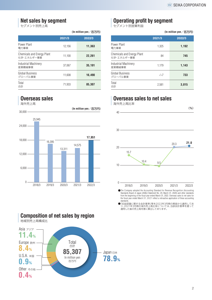#### **Net sales by segment**

セグメント別売上高

|                                          | 2021/3 | 2022/3 |
|------------------------------------------|--------|--------|
| Power Plant<br>電力事業                      | 12.156 | 11,363 |
| Chemicals and Energy Plant<br>化学・エネルギー事業 | 11,100 | 22,261 |
| Industrial Machinery<br>産業機械事業           | 37.067 | 35,191 |
| Global Business<br>グローバル事業               | 11.608 | 16.490 |
| Total<br>合計                              | 71,933 | 85,307 |

#### **Overseas sales**

海外売上高



#### **Composition of net sales by region**

地域別売上高構成比



#### **Operating profit by segment**

セグメント別営業利益

| $(\ln$ million yen $\angle$ 百万円) |                                          |               | (In million yen /百万円) |
|----------------------------------|------------------------------------------|---------------|-----------------------|
| 2022/3                           |                                          | 2021/3        | 2022/3                |
| 11,363                           | Power Plant<br>電力事業                      | 1.325         | 1,192                 |
| 22,261                           | Chemicals and Energy Plant<br>化学・エネルギー事業 | 84            | 745                   |
| 35,191                           | Industrial Machinery<br>産業機械事業           | 1.179         | 1,143                 |
| 16,490                           | <b>Global Business</b><br>グローバル事業        | $\triangle$ 7 | 733                   |
| 85,307                           | Total<br>合計                              | 2,581         | 3,815                 |

#### **Overseas sales to net sales**



The Company adopted the Accounting Standard for Revenue Recognition (Accounting Standards Board of Japan (ASBJ) Statement No. 29, March 31, 2020) and other standards from the beginning of the fiscal year ended March 31, 20 standards.

●「収益認識に関する会計基準」等を2022年3月期の期首から適用してお<br>- り、2021年3月期の海外売上高比率については、当該会計基準を遡って<br>- 適用した後の売上高を基に算出しております。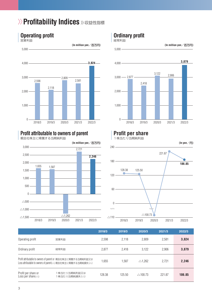## $\rangle$ > Profitability Indices >> 収益性指標



## **Operating profit**

#### **Profit attributable to owners of parent**

親会社株主に帰属する当期純利益



#### **Ordinary profit**

経常利益



#### **Profit per share**

1株当たり当期純利益



|                                                      |                                                                                                                             | 2018/3 | 2019/3 | 2020/3             | 2021/3 | 2022/3 |
|------------------------------------------------------|-----------------------------------------------------------------------------------------------------------------------------|--------|--------|--------------------|--------|--------|
| Operating profit                                     | 営業利益                                                                                                                        | 2.598  | 2.118  | 2.809              | 2.581  | 3,824  |
| Ordinary profit                                      | 経常利益                                                                                                                        | 2.877  | 2.418  | 3.122              | 2.906  | 3,879  |
|                                                      | Profit attributable to owners of parent or 親会社株主に帰属する当期純利益又は<br>Loss attributable to owners of parent(△) 親会社株主に帰属する当期純損失(△) | 1,655  | 1.587  | $\triangle$ 1.262  | 2.721  | 2,246  |
| Profit per share or<br>Loss per share( $\triangle$ ) | 1 株当たり当期純利益又は<br>1株当たり当期純損失(△)                                                                                              | 128.38 | 125.50 | $\triangle$ 100.73 | 221.87 | 186.85 |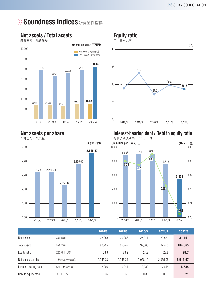## $\gg$  **Soundness Indices** » 健全性指標



#### **Net assets / Total assets**

純資産額/総資産額

#### **Net assets per share**

-<br>1株当たり純資産





### **Interest-bearing debt / Debt to equity ratio**



|                       |         | 2018/3   | 2019/3   | 2020/3   | 2021/3   | 2022/3   |
|-----------------------|---------|----------|----------|----------|----------|----------|
| Net assets            | 純資産額    | 28,988   | 29.066   | 25.911   | 29.889   | 31,101   |
| Total assets          | 総資産額    | 98.295   | 85.742   | 92.668   | 97.458   | 104.865  |
| Equity ratio          | 自己資本比率  | 28.9     | 33.2     | 27.2     | 29.8     | 28.7     |
| Net assets per share  | 株当たり純資産 | 2.245.33 | 2.246.34 | 2.058.12 | 2.365.06 | 2,516.57 |
| Interest-bearing debt | 有利子負債残高 | 8.906    | 9.044    | 8.989    | 7.618    | 5,534    |
| Debt to equity ratio  | D/Eレシオ  | 0.36     | 0.35     | 0.38     | 0.29     | 0.21     |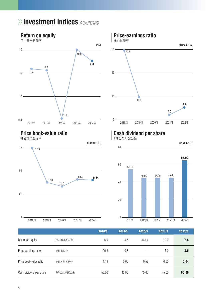## $\gg$  Investment Indices »投資指標



| Return on equity        | 自己資本利益率  | 5.9   | 5.6   | $\triangle$ 4.7 | 10.0  | 7.6   |
|-------------------------|----------|-------|-------|-----------------|-------|-------|
| Price-earnings ratio    | 株価収益率    | 20.8  | 10.8  |                 | 7.0   | 8.6   |
| Price book-value ratio  | 株価純資産倍率  | 1.19  | 0.60  | 0.53            | 0.65  | 0.64  |
| Cash dividend per share | 1株当たり配当金 | 55.00 | 45.00 | 45.00           | 45.00 | 65.00 |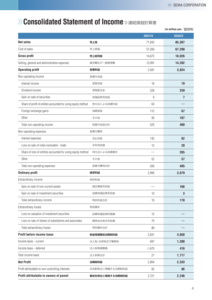## $\gg$  **Consolidated Statement of Income** »連結損益計算書

|                                                               |                 |                 | (In million yen $\angle$ 百万円) |
|---------------------------------------------------------------|-----------------|-----------------|-------------------------------|
|                                                               |                 | 2021/3          | 2022/3                        |
| <b>Net sales</b>                                              | 売上高             | 71,933          | 85,307                        |
| Cost of sales                                                 | 売上原価            | 57,260          | 67,280                        |
| <b>Gross profit</b>                                           | 売上総利益           | 14,672          | 18,026                        |
| Selling, general and administrative expenses                  | 販売費及び一般管理費      | 12,091          | 14,202                        |
| <b>Operating profit</b>                                       | 営業利益            | 2,581           | 3,824                         |
| Non-operating income                                          | 営業外収益           |                 |                               |
| Interest income                                               | 受取利息            | 16              | 19                            |
| Dividend income                                               | 受取配当金           | 228             | 259                           |
| Gain on sale of securities                                    | 有価証券売却益         | 9               | 7                             |
| Share of profit of entities accounted for using equity method | 持分法による投資利益      | 63              |                               |
| Foreign exchange gains                                        | 為替差益            | 112             | 67                            |
| Other                                                         | その他             | 95              | 107                           |
| Total non-operating income                                    | 営業外収益合計         | 525             | 460                           |
| Non-operating expenses                                        | 営業外費用           |                 |                               |
| Interest expenses                                             | 支払利息            | 135             | 62                            |
| Loss on sale of notes receivable - trade                      | 手形売却損           | 12              | 20                            |
| Share of loss of entities accounted for using equity method   | 持分法による投資損失      |                 | 265                           |
| Other                                                         | その他             | 52              | 57                            |
| Total non-operating expenses                                  | 営業外費用合計         | 200             | 405                           |
| <b>Ordinary profit</b>                                        | 経常利益            | 2,906           | 3,879                         |
| Extraordinary income                                          | 特別利益            |                 |                               |
| Gain on sale of non-current assets                            | 固定資産売却益         |                 | 166                           |
| Gain on sale of investment securities                         | 投資有価証券売却益       | 10              | 3                             |
| Total extraordinary income                                    | 特別利益合計          | 10              | 170                           |
| Extraordinary losses                                          | 特別損失            |                 |                               |
| Loss on valuation of investment securities                    | 投資有価証券評価損       | 15              |                               |
| Loss on sale of shares of subsidiaries and associates         | 関係会社株式売却損       | 70              |                               |
| Total extraordinary losses                                    | 特別損失合計          | 86              |                               |
| <b>Profit before income taxes</b>                             | 税金等調整前当期純利益     | 2,831           | 4,050                         |
| Income taxes - current                                        | 法人税、住民税及び事業税    | 697             | 1,300                         |
| Income taxes - deferred                                       | 法人税等調整額         | $\triangle$ 670 | 416                           |
| Total income taxes                                            | 法人税等合計          | 27              | 1,717                         |
| <b>Net Profit</b>                                             | 当期純利益           | 2,804           | 2,333                         |
| Profit attributable to non-controlling interests              | 非支配株主に帰属する当期純利益 | 82              | 86                            |
| Profit attributable to owners of parent                       | 親会社株主に帰属する当期純利益 | 2,721           | 2,246                         |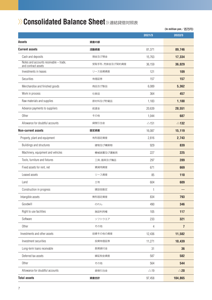## $\gg$  Consolidated Balance Sheet 》連結貸借対照表

|                                                               |                |                 | (In million yen/百万円) |
|---------------------------------------------------------------|----------------|-----------------|----------------------|
|                                                               |                | 2021/3          | 2022/3               |
| <b>Assets</b>                                                 | 資産の部           |                 |                      |
| <b>Current assets</b>                                         | 流動資産           | 81,371          | 89,746               |
| Cash and deposits                                             | 現金及び預金         | 15,763          | 17,334               |
| Notes and accounts receivable - trade,<br>and contract assets | 受取手形、売掛金及び契約資産 | 36,159          | 36,029               |
| Investments in leases                                         | リース投資資産        | 121             | 109                  |
| Securities                                                    | 有価証券           | 157             | 157                  |
| Merchandise and finished goods                                | 商品及び製品         | 6,089           | 5,362                |
| Work in process                                               | 仕掛品            | 364             | 457                  |
| Raw materials and supplies                                    | 原材料及び貯蔵品       | 1,183           | 1,188                |
| Advance payments to suppliers                                 | 前渡金            | 20,639          | 28,551               |
| Other                                                         | その他            | 1,044           | 687                  |
| Allowance for doubtful accounts                               | 貸倒引当金          | $\triangle$ 151 | $\triangle$ 132      |
| <b>Non-current assets</b>                                     | 固定資産           | 16,087          | 15,119               |
| Property, plant and equipment                                 | 有形固定資産         | 2,816           | 2,743                |
| Buildings and structures                                      | 建物及び構築物        | 929             | 839                  |
| Machinery, equipment and vehicles                             | 機械装置及び運搬具      | 227             | 225                  |
| Tools, furniture and fixtures                                 | 工具、器具及び備品      | 297             | 289                  |
| Fixed assets for rent, net                                    | 賃貸用資産          | 671             | 669                  |
| Leased assets                                                 | リース資産          | 85              | 110                  |
| Land                                                          | 土地             | 604             | 609                  |
| Construction in progress                                      | 建設仮勘定          | 1               |                      |
| Intangible assets                                             | 無形固定資産         | 834             | 793                  |
| Goodwill                                                      | のれん            | 490             | 346                  |
| Right to use facilities                                       | 施設利用権          | 105             | 117                  |
| Software                                                      | ソフトウエア         | 233             | 321                  |
| Other                                                         | その他            | 4               | $\overline{1}$       |
| Investments and other assets                                  | 投資その他の資産       | 12,436          | 11,582               |
| Investment securities                                         | 投資有価証券         | 11,271          | 10,439               |
| Long-term loans receivable                                    | 長期貸付金          | 31              | 36                   |
| Deferred tax assets                                           | 繰延税金資産         | 587             | 582                  |
| Other                                                         | その他            | 564             | 544                  |
| Allowance for doubtful accounts                               | 貸倒引当金          | $\triangle$ 19  | $\triangle$ 20       |
| <b>Total assets</b>                                           | 資産合計           | 97,458          | 104,865              |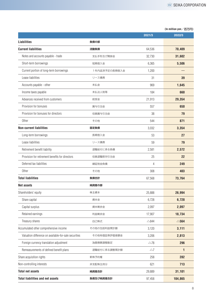|                                                       |               | 2021/3          | 2022/3          |
|-------------------------------------------------------|---------------|-----------------|-----------------|
| <b>Liabilities</b>                                    | 負債の部          |                 |                 |
| <b>Current liabilities</b>                            | 流動負債          | 64,536          | 70,409          |
| Notes and accounts payable - trade                    | 支払手形及び買掛金     | 32,730          | 31,602          |
| Short-term borrowings                                 | 短期借入金         | 6,365           | 5,506           |
| Current portion of long-term borrowings               | 1年内返済予定の長期借入金 | 1,200           |                 |
| Lease liabilities                                     | リース債務         | 31              | 39              |
| Accounts payable - other                              | 未払金           | 969             | 1,645           |
| Income taxes payable                                  | 未払法人税等        | 184             | 660             |
| Advances received from customers                      | 前受金           | 21,913          | 29,354          |
| Provision for bonuses                                 | 賞与引当金         | 557             | 650             |
| Provision for bonuses for directors                   | 役員賞与引当金       | 38              | 79              |
| Other                                                 | その他           | 544             | 871             |
| <b>Non-current liabilities</b>                        | 固定負債          | 3,032           | 3,354           |
| Long-term borrowings                                  | 長期借入金         | 53              | 27              |
| Lease liabilities                                     | リース債務         | 59              | 79              |
| Retirement benefit liability                          | 退職給付に係る負債     | 2,581           | 2,572           |
| Provision for retirement benefits for directors       | 役員退職慰労引当金     | 25              | 22              |
| Deferred tax liabilities                              | 繰延税金負債        | 4               | 249             |
| Other                                                 | その他           | 308             | 403             |
| <b>Total liabilities</b>                              | 負債合計          | 67,568          | 73,764          |
| <b>Net assets</b>                                     | 純資産の部         |                 |                 |
| Shareholders' equity                                  | 株主資本          | 25,888          | 26,994          |
| Share capital                                         | 資本金           | 6,728           | 6,728           |
| Capital surplus                                       | 資本剰余金         | 2,097           | 2,097           |
| Retained earnings                                     | 利益剰余金         | 17,907          | 18,734          |
| Treasury shares                                       | 自己株式          | $\triangle 844$ | $\triangle$ 564 |
| Accumulated other comprehensive income                | その他の包括利益累計額   | 3,120           | 3,111           |
| Valuation difference on available-for-sale securities | その他有価証券評価差額金  | 3,206           | 2,813           |
| Foreign currency translation adjustment               | 為替換算調整勘定      | $\triangle$ 78  | 296             |
| Remeasurements of defined benefit plans               | 退職給付に係る調整累計額  | $\triangle$ 7   | $\mathbf{1}$    |
| Share acquisition rights                              | 新株予約権         | 258             | 282             |
| Non-controlling interests                             | 非支配株主持分       | 621             | 713             |
| <b>Total net assets</b>                               | 純資産合計         | 29,889          | 31,101          |
| <b>Total liabilities and net assets</b>               | 負債及び純資産合計     | 97,458          | 104,865         |

#### (**In million yen**/百万円)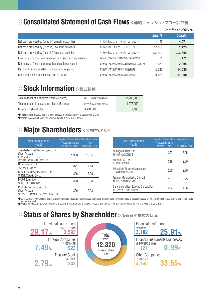## $\langle \rangle$  **Consolidated Statement of Cash Flows** » 連結キャッシュ・フロー計算書

#### (**In million yen**/百万円)

|                                                             |                     | 2021/3            | 2022/3            |
|-------------------------------------------------------------|---------------------|-------------------|-------------------|
| Net cash provided by (used in) operating activities         | 営業活動によるキャッシュ・フロー    | 4.137             | 4,971             |
| Net cash provided by (used in) investing activities         | 投資活動によるキャッシュ・フロー    | $\triangle$ 1.566 | 1,125             |
| Net cash provided by (used in) financing activities         | 財務活動によるキャッシュ・フロー    | $\triangle$ 1.903 | $\triangle$ 3.304 |
| Effect of exchange rate change on cash and cash equivalents | 現金及び現金同等物に係る換算差額    | 21                | 171               |
| Net increase (decrease) in cash and cash equivalents        | 現金及び現金同等物の増減額(△は減少) | 689               | 2,964             |
| Cash and cash equivalents at beginning of period            | 現金及び現金同等物の期首残高      | 13.346            | 14,035            |
| Cash and cash equivalents at end of period                  | 現金及び現金同等物の期末残高      | 14.035            | 17,000            |

## $\gg$  Stock Information  $\gg$ 株式情報

| Total number of authorized shares (Shares)  | 発行可能株式総数(株) | 37.705.800 |
|---------------------------------------------|-------------|------------|
| Total number of outstanding shares (Shares) | 発行済株式の総数(株) | 11.977.250 |
| Number of shareholders                      | 株主数(名)      | 7.488      |

●Treasury stock 343,400 shares are not included in the total number of outstanding shares.

●発行済株式の総数に、自己株式343,400株を含んでおりません。

## $\gg$  **Major Shareholders** »大株主の状況

| Name of shareholders<br>株主名                                                            | Number of shares held Investment ratio<br>(Thousand shares)<br>持株数 (千株) | (% )<br>出資比率(%) |
|----------------------------------------------------------------------------------------|-------------------------------------------------------------------------|-----------------|
| The Master Trust Bank of Japan, Ltd.<br>(Trust Account)<br>日本マスタートラスト<br>信託銀行株式会社(信託口) | 1.300                                                                   | 10.85           |
| Hikari Tsushin K.K.<br>光通信株式会社                                                         | 891                                                                     | 7.44            |
| Mitsubishi Heavy Industries, Ltd.<br>三菱重工業株式会社                                         | 826                                                                     | 6.90            |
| MUFG Bank, Ltd.<br>株式会社三菱UFJ銀行                                                         | 400                                                                     | 3.34            |
| Custody Bank of Japan, Ltd.<br>(Trust Account)<br>株式会社日本カストディ銀行(信託口)                   | 356                                                                     | 2.98            |

| Name of shareholders<br>株主名                       | Number of shares held Investment ratio<br>(Thousand shares)<br>持株数 (千株) | (% )<br>出資比率(%) |
|---------------------------------------------------|-------------------------------------------------------------------------|-----------------|
| Yamaguchi Bank, Ltd.<br>株式会社山口銀行                  | 352                                                                     | 2.95            |
| Nikkiso Co., Ltd.<br>日機装株式会社                      | 318                                                                     | 2.66            |
| Mitsubishi Electric Corporation<br>三菱電機株式会社       | 286                                                                     | 2.39            |
| Tsurumi Manufacturing Co., Ltd.<br>株式会社鶴見製作所      | 267                                                                     | 2 23            |
| Sumitomo Mitsui Banking Corporation<br>株式会社三井住友銀行 | 234                                                                     | 1.96            |

●Seika owns 343,400 treasury shares at the end of March 2021, but it is excluded from Major Shareholders. Investment ratio is calculated based on the total number of outstanding shares not includ-

Total 合計

千株 Thousand shares **12,320**

ing treasury stock. ●当社は自己株式343,400株を保有しておりますが、上記大株主から除いております。また、出資比率は、自己株式を控除して計算しております。

## $\gg$  Status of Shares by Shareholder  $\gg$  所有者別株式の状況



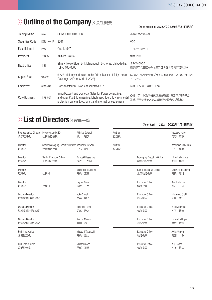## **Outline of the Company** >> 会社概要

(**As of March 31,2022**/2022年3月31日現在)

| <b>Trading Name</b> | 商号    | SEIKA CORPORATION                                                                                                                                                                     | 西華産業株式会社                                            |
|---------------------|-------|---------------------------------------------------------------------------------------------------------------------------------------------------------------------------------------|-----------------------------------------------------|
| Securities Code     | 証券コード | 8061                                                                                                                                                                                  | 8061                                                |
| Establishment       | 設立    | Oct. 1,1947                                                                                                                                                                           | 1947年10月1日                                          |
| President           | 代表者   | Akihiko Sakurai                                                                                                                                                                       | 櫻井 昭彦                                               |
| Head Office         | 本社    | Shin - Tokyo Bldg., 3-1, Marunouchi 3-chome, Chiyoda-ku,<br>Tokyo 100-0005                                                                                                            | 〒100-0005<br>東京都千代田区丸の内三丁目3番1号(新東京ビル)               |
| Capital Stock       | 資本金   | 6,728 million yen (Listed on the Prime Market of Tokyo stock<br>Exchange *From April 4, 2022)                                                                                         | 67億28百万円(東証プライム市場上場 ※2022年4月<br>4日から)               |
| Employees           | 従業員数  | Consolidated: 977 Non-consolidated: 317                                                                                                                                               | 連結:977名<br>単体:317名                                  |
| Core Business       | 主要事業  | Import/Export and Domestic Sales for Power generating,<br>and other Plant, Engineering, Machinery, Tools, Environmental<br>protection system, Electronics and information equipments. | 各種プラント及び補機類、機械装置・機器類、環境保全<br>設備、電子情報システム機器類の販売及び輸出入 |

## **List of Directors** >> 役員一覧

| Representative Director President and CEO<br>代表取締役 | 社長執行役員                                                      | Akihiko Sakurai<br>櫻井<br>昭彦 |
|----------------------------------------------------|-------------------------------------------------------------|-----------------------------|
| Director<br>取締役                                    | Senior Managing Executive Officer Yasumasa Kawana<br>専務執行役員 | 川名 康正                       |
| Director<br>取締役                                    | Senior Executive Officer<br>上席執行役員                          | Tomoaki Hasegawa<br>長谷川 智昭  |
| Director<br>取締役                                    | 社長付                                                         | Masanori Takahashi<br>髙橋 正憲 |
| Director<br>取締役                                    | 社長付                                                         | Hajime Goto<br>後藤<br>棊      |
| Outside Director<br>取締役(社外取締役)                     |                                                             | Yuko Shirai<br>白井 裕子        |
| Outside Director<br>取締役(社外取締役)                     |                                                             | Takahisa Fukao<br>深尾 降久     |
| Outside Director<br>取締役(社外取締役)                     |                                                             | Kiyomi Miyata<br>宮田 清巳      |
| Full-time Auditor<br>常勤監査役                         |                                                             | Masashi Takahashi<br>髙橋の昌志  |
| Full-time Auditor<br>常勤監査役                         |                                                             | Masanori Abe<br>阿部 正典       |

#### (**As of April 1, 2022**/2022年4月1日現在)

| Auditor<br>監査役 |                                      | Yasutaka Keno<br>手野 泰孝      |
|----------------|--------------------------------------|-----------------------------|
| Auditor<br>監査役 |                                      | Yoshihiko Nakamura<br>中村 嘉彦 |
|                | Managing Executive Officer<br>常務執行役員 | Hirohisa Masuda<br>増田 博久    |
|                | Senior Executive Officer<br>上席執行役員   | Noriyuki Takahashi<br>髙橋 紀行 |
|                | <b>Executive Officer</b><br>執行役員     | Kazutoshi Usui<br>碓井 一俊     |
|                | <b>Executive Officer</b><br>執行役員     | Masakazu Ozaki<br>尾崎 雅一     |
|                | <b>Executive Officer</b><br>執行役員     | Yuki Kinoshita<br>木下 雄貴     |
|                | <b>Executive Officer</b><br>執行役員     | Tatsuhiko Nojiri<br>野尻 竜彦   |
|                | <b>Executive Officer</b><br>執行役員     | Akira Yumen<br>湯面<br>彰      |
|                | <b>Executive Officer</b><br>執行役員     | Yuji Honda<br>本多 裕二         |